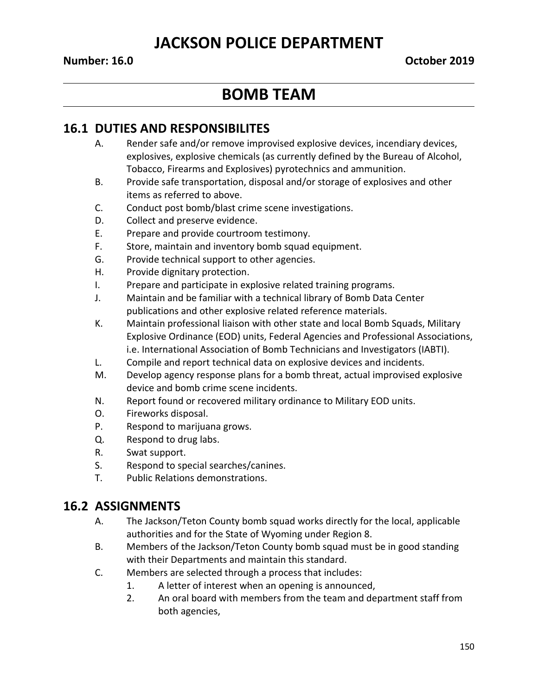## **JACKSON POLICE DEPARTMENT**

#### **Number: 16.0 October 2019**

# **BOMB TEAM**

### **16.1 DUTIES AND RESPONSIBILITES**

- A. Render safe and/or remove improvised explosive devices, incendiary devices, explosives, explosive chemicals (as currently defined by the Bureau of Alcohol, Tobacco, Firearms and Explosives) pyrotechnics and ammunition.
- B. Provide safe transportation, disposal and/or storage of explosives and other items as referred to above.
- C. Conduct post bomb/blast crime scene investigations.
- D. Collect and preserve evidence.
- E. Prepare and provide courtroom testimony.
- F. Store, maintain and inventory bomb squad equipment.
- G. Provide technical support to other agencies.
- H. Provide dignitary protection.
- I. Prepare and participate in explosive related training programs.
- J. Maintain and be familiar with a technical library of Bomb Data Center publications and other explosive related reference materials.
- K. Maintain professional liaison with other state and local Bomb Squads, Military Explosive Ordinance (EOD) units, Federal Agencies and Professional Associations, i.e. International Association of Bomb Technicians and Investigators (IABTI).
- L. Compile and report technical data on explosive devices and incidents.
- M. Develop agency response plans for a bomb threat, actual improvised explosive device and bomb crime scene incidents.
- N. Report found or recovered military ordinance to Military EOD units.
- O. Fireworks disposal.
- P. Respond to marijuana grows.
- Q. Respond to drug labs.
- R. Swat support.
- S. Respond to special searches/canines.
- T. Public Relations demonstrations.

#### **16.2 ASSIGNMENTS**

- A. The Jackson/Teton County bomb squad works directly for the local, applicable authorities and for the State of Wyoming under Region 8.
- B. Members of the Jackson/Teton County bomb squad must be in good standing with their Departments and maintain this standard.
- C. Members are selected through a process that includes:
	- 1. A letter of interest when an opening is announced,
	- 2. An oral board with members from the team and department staff from both agencies,